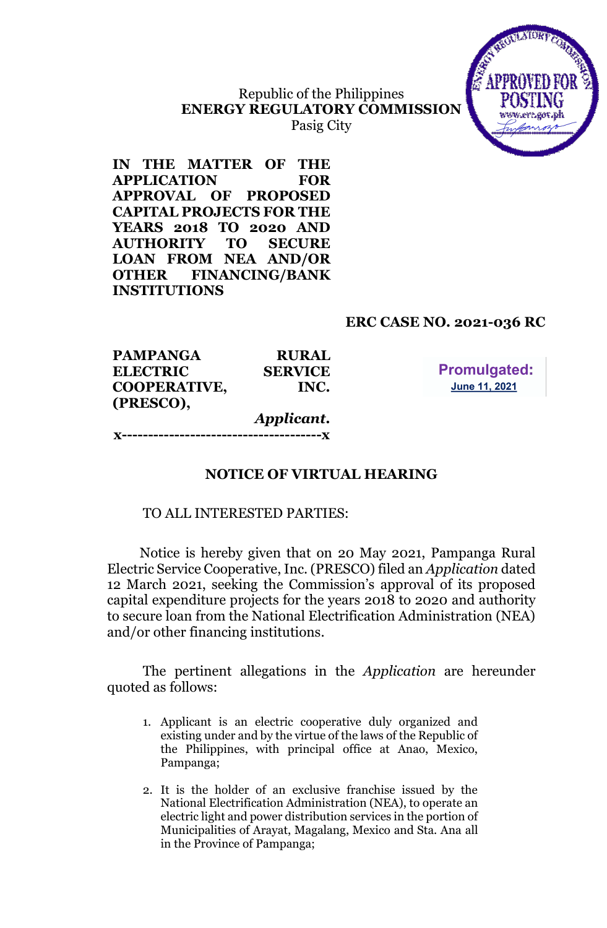# Republic of the Philippines **ENERGY REGULATORY COMMISSION**



xtere

**IN THE MATTER OF THE APPLICATION FOR APPROVAL OF PROPOSED CAPITAL PROJECTS FOR THE YEARS 2018 TO 2020 AND AUTHORITY TO SECURE LOAN FROM NEA AND/OR OTHER FINANCING/BANK INSTITUTIONS**

# **ERC CASE NO. 2021-036 RC**

| <b>PAMPANGA</b>     | <b>RURAL</b>   |
|---------------------|----------------|
| <b>ELECTRIC</b>     | <b>SERVICE</b> |
| <b>COOPERATIVE,</b> | INC.           |
| (PRESCO),           |                |
|                     | Applicant.     |
| ----------------    |                |

**Promulgated:** June 11, 2021

# **NOTICE OF VIRTUAL HEARING**

### TO ALL INTERESTED PARTIES:

Notice is hereby given that on 20 May 2021, Pampanga Rural Electric Service Cooperative, Inc. (PRESCO) filed an *Application* dated 12 March 2021, seeking the Commission's approval of its proposed capital expenditure projects for the years 2018 to 2020 and authority to secure loan from the National Electrification Administration (NEA) and/or other financing institutions.

The pertinent allegations in the *Application* are hereunder quoted as follows:

- 1. Applicant is an electric cooperative duly organized and existing under and by the virtue of the laws of the Republic of the Philippines, with principal office at Anao, Mexico, Pampanga;
- 2. It is the holder of an exclusive franchise issued by the National Electrification Administration (NEA), to operate an electric light and power distribution services in the portion of Municipalities of Arayat, Magalang, Mexico and Sta. Ana all in the Province of Pampanga;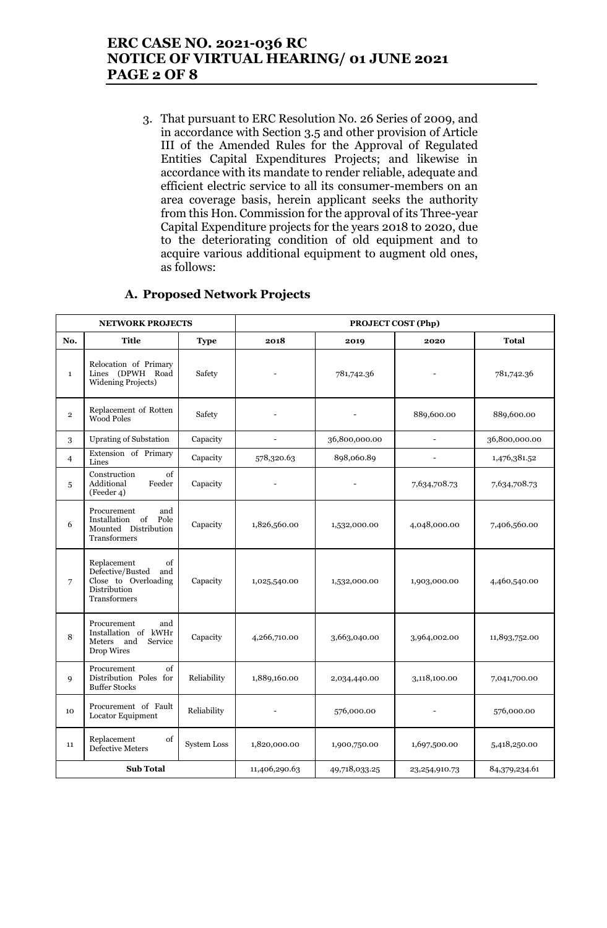# **ERC CASE NO. 2021-036 RC NOTICE OF VIRTUAL HEARING/ 01 JUNE 2021 PAGE 2 OF 8**

3. That pursuant to ERC Resolution No. 26 Series of 2009, and in accordance with Section 3.5 and other provision of Article III of the Amended Rules for the Approval of Regulated Entities Capital Expenditures Projects; and likewise in accordance with its mandate to render reliable, adequate and efficient electric service to all its consumer-members on an area coverage basis, herein applicant seeks the authority from this Hon. Commission for the approval of its Three-year Capital Expenditure projects for the years 2018 to 2020, due to the deteriorating condition of old equipment and to acquire various additional equipment to augment old ones, as follows:

| <b>NETWORK PROJECTS</b> |                                                                                                      |                    |                          | PROJECT COST (Php) |                          |               |
|-------------------------|------------------------------------------------------------------------------------------------------|--------------------|--------------------------|--------------------|--------------------------|---------------|
| No.                     | <b>Title</b>                                                                                         | <b>Type</b>        | 2018                     | 2019               | 2020                     | Total         |
| $\mathbf{1}$            | Relocation of Primary<br>Lines (DPWH Road<br><b>Widening Projects)</b>                               | Safety             |                          | 781,742.36         |                          | 781,742.36    |
| $\overline{2}$          | Replacement of Rotten<br><b>Wood Poles</b>                                                           | Safety             |                          |                    | 889,600.00               | 889,600.00    |
| 3                       | <b>Uprating of Substation</b>                                                                        | Capacity           | $\overline{\phantom{0}}$ | 36,800,000.00      | $\equiv$                 | 36,800,000.00 |
| $\overline{4}$          | Extension of Primary<br>Lines                                                                        | Capacity           | 578,320.63               | 898,060.89         | $\overline{\phantom{a}}$ | 1,476,381.52  |
| 5                       | Construction<br>of<br>Additional<br>Feeder<br>(Feeder 4)                                             | Capacity           |                          |                    | 7,634,708.73             | 7,634,708.73  |
| 6                       | Procurement<br>and<br>of<br>Installation<br>Pole<br>Mounted Distribution<br>Transformers             | Capacity           | 1,826,560.00             | 1,532,000.00       | 4,048,000.00             | 7,406,560.00  |
| 7                       | of<br>Replacement<br>Defective/Busted<br>and<br>Close to Overloading<br>Distribution<br>Transformers | Capacity           | 1,025,540.00             | 1,532,000.00       | 1,903,000.00             | 4,460,540.00  |
| 8                       | Procurement<br>and<br>Installation of kWHr<br>and<br>Service<br>Meters<br>Drop Wires                 | Capacity           | 4,266,710.00             | 3,663,040.00       | 3,964,002.00             | 11,893,752.00 |
| 9                       | of<br>Procurement<br>Distribution Poles for<br><b>Buffer Stocks</b>                                  | Reliability        | 1,889,160.00             | 2,034,440.00       | 3,118,100.00             | 7,041,700.00  |
| 10                      | Procurement of Fault<br>Locator Equipment                                                            | Reliability        |                          | 576,000.00         |                          | 576,000.00    |
| 11                      | Replacement<br>of<br><b>Defective Meters</b>                                                         | <b>System Loss</b> | 1,820,000.00             | 1,900,750.00       | 1,697,500.00             | 5,418,250.00  |
|                         | <b>Sub Total</b>                                                                                     |                    | 11,406,290.63            | 49,718,033.25      | 23,254,910.73            | 84,379,234.61 |

### **A. Proposed Network Projects**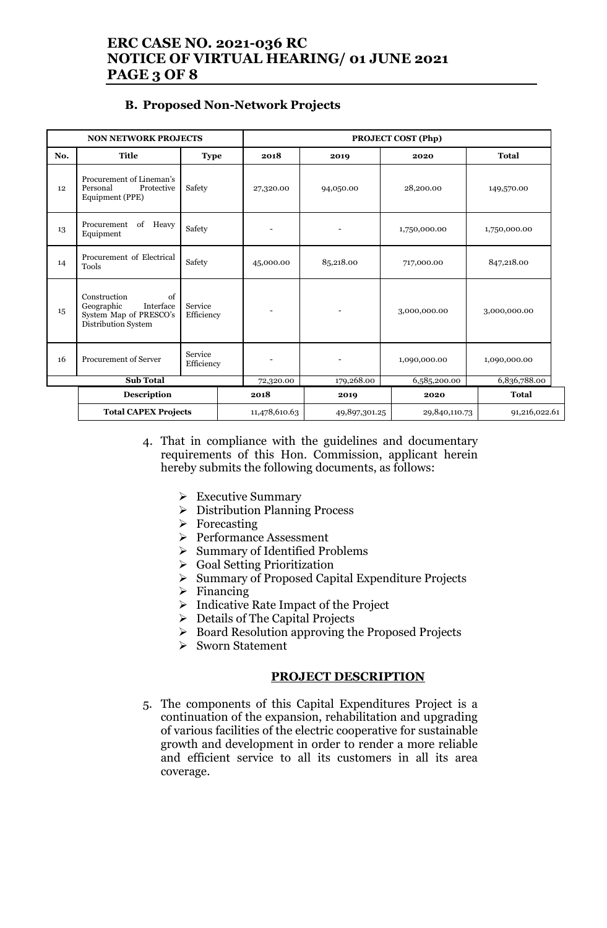# **ERC CASE NO. 2021-036 RC NOTICE OF VIRTUAL HEARING/ 01 JUNE 2021 PAGE 3 OF 8**

### **B. Proposed Non-Network Projects**

|     | <b>NON NETWORK PROJECTS</b>                                                                    |                       |               | <b>PROJECT COST (Php)</b> |               |               |
|-----|------------------------------------------------------------------------------------------------|-----------------------|---------------|---------------------------|---------------|---------------|
| No. | <b>Title</b>                                                                                   | <b>Type</b>           | 2018          | 2019                      | 2020          | <b>Total</b>  |
| 12  | Procurement of Lineman's<br>Personal<br>Protective<br>Equipment (PPE)                          | Safety                | 27,320.00     | 94,050.00                 | 28,200.00     | 149,570.00    |
| 13  | of<br>Procurement<br>Heavy<br>Equipment                                                        | Safety                |               |                           | 1,750,000.00  | 1,750,000.00  |
| 14  | Procurement of Electrical<br><b>Tools</b>                                                      | Safety                | 45,000.00     | 85,218.00                 | 717,000.00    | 847,218.00    |
| 15  | Construction<br>of<br>Interface<br>Geographic<br>System Map of PRESCO's<br>Distribution System | Service<br>Efficiency |               |                           | 3,000,000.00  | 3,000,000.00  |
| 16  | <b>Procurement of Server</b>                                                                   | Service<br>Efficiency |               | $\overline{a}$            | 1,090,000.00  | 1,090,000.00  |
|     | <b>Sub Total</b>                                                                               |                       | 72,320.00     | 179,268.00                | 6,585,200.00  | 6,836,788.00  |
|     | <b>Description</b>                                                                             |                       | 2018          | 2019                      | 2020          | <b>Total</b>  |
|     | <b>Total CAPEX Projects</b>                                                                    |                       | 11,478,610.63 | 49,897,301.25             | 29,840,110.73 | 91,216,022.61 |

- 4. That in compliance with the guidelines and documentary requirements of this Hon. Commission, applicant herein hereby submits the following documents, as follows:
	- ➢ Executive Summary
	- ➢ Distribution Planning Process
	- ➢ Forecasting
	- ➢ Performance Assessment
	- ➢ Summary of Identified Problems
	- ➢ Goal Setting Prioritization
	- ➢ Summary of Proposed Capital Expenditure Projects
	- $\triangleright$  Financing
	- ➢ Indicative Rate Impact of the Project
	- ➢ Details of The Capital Projects
	- ➢ Board Resolution approving the Proposed Projects
	- ➢ Sworn Statement

#### **PROJECT DESCRIPTION**

5. The components of this Capital Expenditures Project is a continuation of the expansion, rehabilitation and upgrading of various facilities of the electric cooperative for sustainable growth and development in order to render a more reliable and efficient service to all its customers in all its area coverage.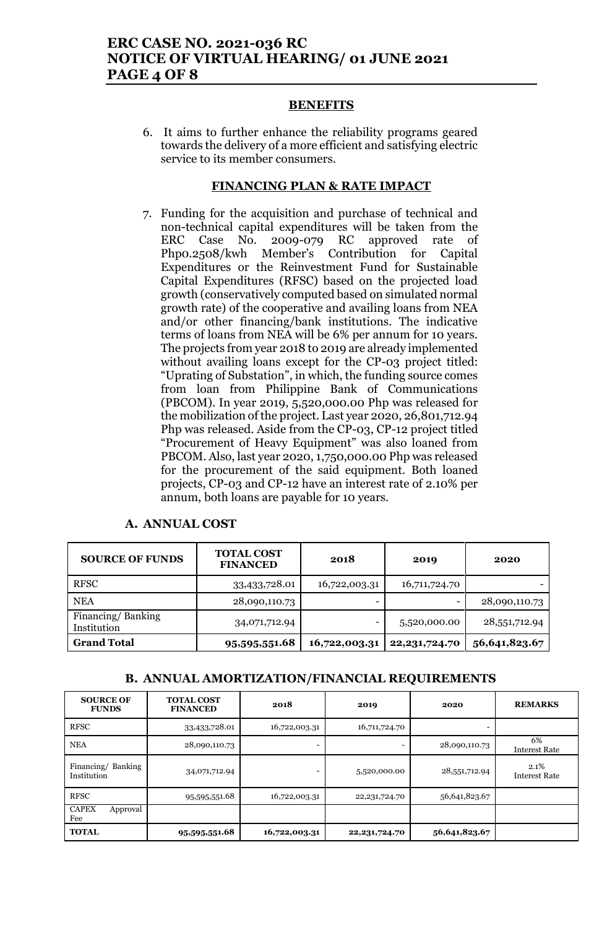## **ERC CASE NO. 2021-036 RC NOTICE OF VIRTUAL HEARING/ 01 JUNE 2021 PAGE 4 OF 8**

#### **BENEFITS**

6. It aims to further enhance the reliability programs geared towards the delivery of a more efficient and satisfying electric service to its member consumers.

#### **FINANCING PLAN & RATE IMPACT**

7. Funding for the acquisition and purchase of technical and non-technical capital expenditures will be taken from the ERC Case No. 2009-079 RC approved rate of Php0.2508/kwh Member's Contribution for Capital Expenditures or the Reinvestment Fund for Sustainable Capital Expenditures (RFSC) based on the projected load growth (conservatively computed based on simulated normal growth rate) of the cooperative and availing loans from NEA and/or other financing/bank institutions. The indicative terms of loans from NEA will be 6% per annum for 10 years. The projects from year 2018 to 2019 are already implemented without availing loans except for the CP-03 project titled: "Uprating of Substation", in which, the funding source comes from loan from Philippine Bank of Communications (PBCOM). In year 2019, 5,520,000.00 Php was released for the mobilization of the project. Last year 2020, 26,801,712.94 Php was released. Aside from the CP-03, CP-12 project titled "Procurement of Heavy Equipment" was also loaned from PBCOM. Also, last year 2020, 1,750,000.00 Php was released for the procurement of the said equipment. Both loaned projects, CP-03 and CP-12 have an interest rate of 2.10% per annum, both loans are payable for 10 years.

| <b>SOURCE OF FUNDS</b>           | <b>TOTAL COST</b><br><b>FINANCED</b> | 2018          | 2019             | 2020          |
|----------------------------------|--------------------------------------|---------------|------------------|---------------|
| <b>RFSC</b>                      | 33,433,728.01                        | 16,722,003.31 | 16,711,724.70    |               |
| <b>NEA</b>                       | 28,090,110.73                        |               | -                | 28,090,110.73 |
| Financing/Banking<br>Institution | 34,071,712.94                        |               | 5,520,000.00     | 28,551,712.94 |
| <b>Grand Total</b>               | 95,595,551.68                        | 16,722,003.31 | 22, 231, 724. 70 | 56,641,823.67 |

### **A. ANNUAL COST**

### **B. ANNUAL AMORTIZATION/FINANCIAL REQUIREMENTS**

| <b>SOURCE OF</b><br><b>FUNDS</b> | <b>TOTAL COST</b><br><b>FINANCED</b> | 2018          | 2019             | 2020          | <b>REMARKS</b>               |
|----------------------------------|--------------------------------------|---------------|------------------|---------------|------------------------------|
| <b>RFSC</b>                      | 33,433,728.01                        | 16,722,003.31 | 16,711,724.70    |               |                              |
| <b>NEA</b>                       | 28,090,110.73                        |               |                  | 28,090,110.73 | 6%<br><b>Interest Rate</b>   |
| Financing/Banking<br>Institution | 34,071,712.94                        |               | 5,520,000.00     | 28,551,712.94 | 2.1%<br><b>Interest Rate</b> |
| <b>RFSC</b>                      | 95,595,551.68                        | 16,722,003.31 | 22, 231, 724. 70 | 56,641,823.67 |                              |
| <b>CAPEX</b><br>Approval<br>Fee  |                                      |               |                  |               |                              |
| <b>TOTAL</b>                     | 95,595,551.68                        | 16,722,003.31 | 22, 231, 724. 70 | 56,641,823.67 |                              |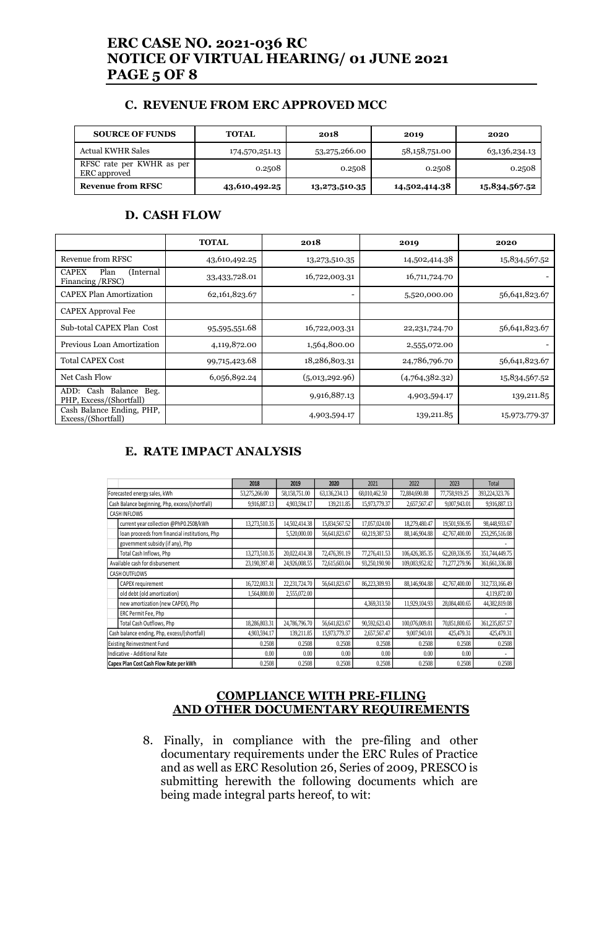# **ERC CASE NO. 2021-036 RC NOTICE OF VIRTUAL HEARING/ 01 JUNE 2021 PAGE 5 OF 8**

#### **C. REVENUE FROM ERC APPROVED MCC**

| <b>SOURCE OF FUNDS</b>                    | <b>TOTAL</b>   | 2018          | 2019          | 2020          |
|-------------------------------------------|----------------|---------------|---------------|---------------|
| Actual KWHR Sales                         | 174,570,251.13 | 53,275,266.00 | 58,158,751.00 | 63,136,234.13 |
| RFSC rate per KWHR as per<br>ERC approved | 0.2508         | 0.2508        | 0.2508        | 0.2508        |
| <b>Revenue from RFSC</b>                  | 43,610,492.25  | 13,273,510.35 | 14,502,414.38 | 15,834,567.52 |

#### **D. CASH FLOW**

|                                                        | <b>TOTAL</b>  | 2018           | 2019             | 2020          |
|--------------------------------------------------------|---------------|----------------|------------------|---------------|
| Revenue from RFSC                                      | 43,610,492.25 | 13,273,510.35  | 14,502,414.38    | 15,834,567.52 |
| <b>CAPEX</b><br>Plan<br>(Internal<br>Financing / RFSC) | 33,433,728.01 | 16,722,003.31  | 16,711,724.70    |               |
| <b>CAPEX Plan Amortization</b>                         | 62,161,823.67 |                | 5,520,000.00     | 56,641,823.67 |
| <b>CAPEX Approval Fee</b>                              |               |                |                  |               |
| Sub-total CAPEX Plan Cost                              | 95,595,551.68 | 16,722,003.31  | 22, 231, 724. 70 | 56,641,823.67 |
| Previous Loan Amortization                             | 4,119,872.00  | 1,564,800.00   | 2,555,072.00     |               |
| <b>Total CAPEX Cost</b>                                | 99,715,423.68 | 18,286,803.31  | 24,786,796.70    | 56,641,823.67 |
| Net Cash Flow                                          | 6,056,892.24  | (5,013,292.96) | (4,764,382,32)   | 15,834,567.52 |
| ADD: Cash Balance<br>Beg.<br>PHP, Excess/(Shortfall)   |               | 9,916,887.13   | 4,903,594.17     | 139,211.85    |
| Cash Balance Ending, PHP,<br>Excess/(Shortfall)        |               | 4,903,594.17   | 139,211.85       | 15,973,779.37 |

### **E. RATE IMPACT ANALYSIS**

|                                                 | 2018          | 2019          | 2020          | 2021          | 2022           | 2023          | Total          |
|-------------------------------------------------|---------------|---------------|---------------|---------------|----------------|---------------|----------------|
| Forecasted energy sales, kWh                    | 53,275,266.00 | 58,158,751.00 | 63,136,234.13 | 68,010,462.50 | 72,884,690.88  | 77,758,919.25 | 393,224,323.76 |
| Cash Balance beginning, Php, excess/(shortfall) | 9.916,887.13  | 4,903,594.17  | 139,211.85    | 15,973,779.37 | 2,657,567.47   | 9,007,943.01  | 9,916,887.13   |
| <b>CASH INFLOWS</b>                             |               |               |               |               |                |               |                |
| current year collection @PhP0.2508/kWh          | 13.273.510.35 | 14.502.414.38 | 15,834,567.52 | 17,057,024.00 | 18,279,480.47  | 19,501,936.95 | 98,448,933.67  |
| loan proceeds from financial institutions, Php  |               | 5.520,000.00  | 56,641,823.67 | 60.219.387.53 | 88,146,904.88  | 42,767,400.00 | 253,295,516.08 |
| government subsidy (if any), Php                |               |               |               |               |                |               |                |
| Total Cash Inflows, Php                         | 13,273,510.35 | 20,022,414.38 | 72,476,391.19 | 77,276,411.53 | 106,426,385.35 | 62,269,336.95 | 351,744,449.75 |
| Available cash for disbursement                 | 23,190,397.48 | 24,926,008.55 | 72,615,603.04 | 93,250,190.90 | 109,083,952.82 | 71,277,279.96 | 361,661,336.88 |
| CASH OUTFLOWS                                   |               |               |               |               |                |               |                |
| CAPEX requirement                               | 16,722,003.31 | 22.231.724.70 | 56,641,823.67 | 86,223,309.93 | 88,146,904.88  | 42,767,400.00 | 312,733,166.49 |
| old debt (old amortization)                     | 1.564.800.00  | 2,555,072.00  |               |               |                |               | 4,119,872.00   |
| new amortization (new CAPEX), Php               |               |               |               | 4,369,313.50  | 11.929.104.93  | 28,084,400.65 | 44,382,819.08  |
| ERC Permit Fee, Php                             |               |               |               |               |                |               |                |
| Total Cash Outflows, Php                        | 18,286,803.31 | 24,786,796.70 | 56,641,823.67 | 90,592,623.43 | 100,076,009.81 | 70,851,800.65 | 361,235,857.57 |
| Cash balance ending, Php, excess/(shortfall)    | 4,903,594.17  | 139,211.85    | 15,973,779.37 | 2,657,567.47  | 9,007,943.01   | 425,479.31    | 425,479.31     |
| <b>Existing Reinvestment Fund</b>               | 0.2508        | 0.2508        | 0.2508        | 0.2508        | 0.2508         | 0.2508        | 0.2508         |
| Indicative - Additional Rate                    | 0.00          | 0.00          | 0.00          | 0.00          | 0.00           | 0.00          |                |
| Capex Plan Cost Cash Flow Rate per kWh          | 0.2508        | 0.2508        | 0.2508        | 0.2508        | 0.2508         | 0.2508        | 0.2508         |

#### **COMPLIANCE WITH PRE-FILING AND OTHER DOCUMENTARY REQUIREMENTS**

8. Finally, in compliance with the pre-filing and other documentary requirements under the ERC Rules of Practice and as well as ERC Resolution 26, Series of 2009, PRESCO is submitting herewith the following documents which are being made integral parts hereof, to wit: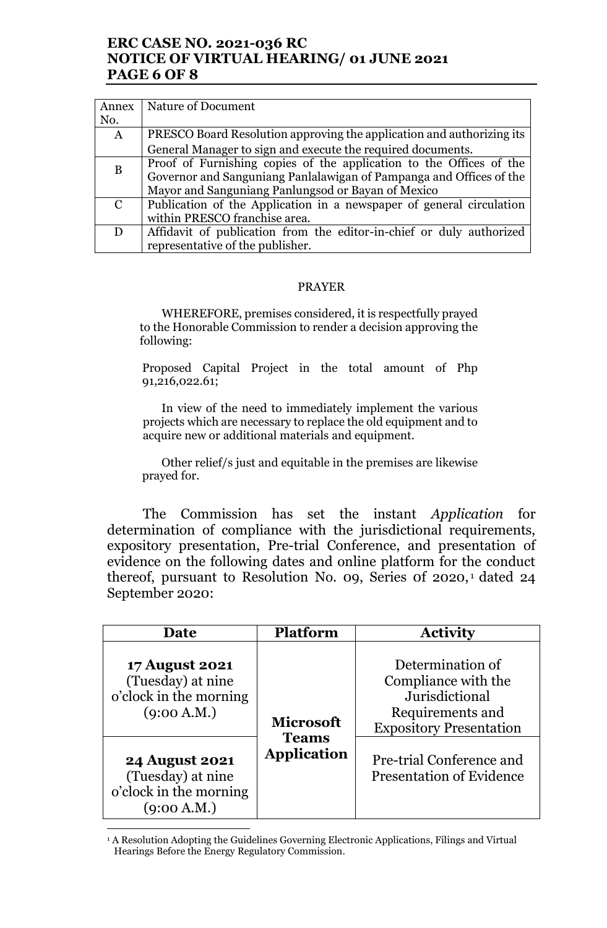## **ERC CASE NO. 2021-036 RC NOTICE OF VIRTUAL HEARING/ 01 JUNE 2021 PAGE 6 OF 8**

| Annex        | Nature of Document                                                    |
|--------------|-----------------------------------------------------------------------|
| No.          |                                                                       |
| $\mathbf{A}$ | PRESCO Board Resolution approving the application and authorizing its |
|              | General Manager to sign and execute the required documents.           |
| B            | Proof of Furnishing copies of the application to the Offices of the   |
|              | Governor and Sanguniang Panlalawigan of Pampanga and Offices of the   |
|              | Mayor and Sanguniang Panlungsod or Bayan of Mexico                    |
| C            | Publication of the Application in a newspaper of general circulation  |
|              | within PRESCO franchise area.                                         |
| D            | Affidavit of publication from the editor-in-chief or duly authorized  |
|              | representative of the publisher.                                      |

#### PRAYER

WHEREFORE, premises considered, it is respectfully prayed to the Honorable Commission to render a decision approving the following:

Proposed Capital Project in the total amount of Php 91,216,022.61;

In view of the need to immediately implement the various projects which are necessary to replace the old equipment and to acquire new or additional materials and equipment.

Other relief/s just and equitable in the premises are likewise prayed for.

The Commission has set the instant *Application* for determination of compliance with the jurisdictional requirements, expository presentation, Pre-trial Conference, and presentation of evidence on the following dates and online platform for the conduct thereof, pursuant to Resolution No. 09, Series of 2020,<sup>1</sup> dated 24 September 2020:

| Date                                                                                                                              | <b>Platform</b>                                        | <b>Activity</b>                                                                                                                                                                |
|-----------------------------------------------------------------------------------------------------------------------------------|--------------------------------------------------------|--------------------------------------------------------------------------------------------------------------------------------------------------------------------------------|
| <b>17 August 2021</b><br>(Tuesday) at nine<br>o'clock in the morning<br>(9:00 A.M.)<br><b>24 August 2021</b><br>(Tuesday) at nine | <b>Microsoft</b><br><b>Teams</b><br><b>Application</b> | Determination of<br>Compliance with the<br>Jurisdictional<br>Requirements and<br><b>Expository Presentation</b><br>Pre-trial Conference and<br><b>Presentation of Evidence</b> |
| o'clock in the morning<br>(9:00 A.M.)                                                                                             |                                                        |                                                                                                                                                                                |

<sup>&</sup>lt;sup>1</sup> A Resolution Adopting the Guidelines Governing Electronic Applications, Filings and Virtual Hearings Before the Energy Regulatory Commission.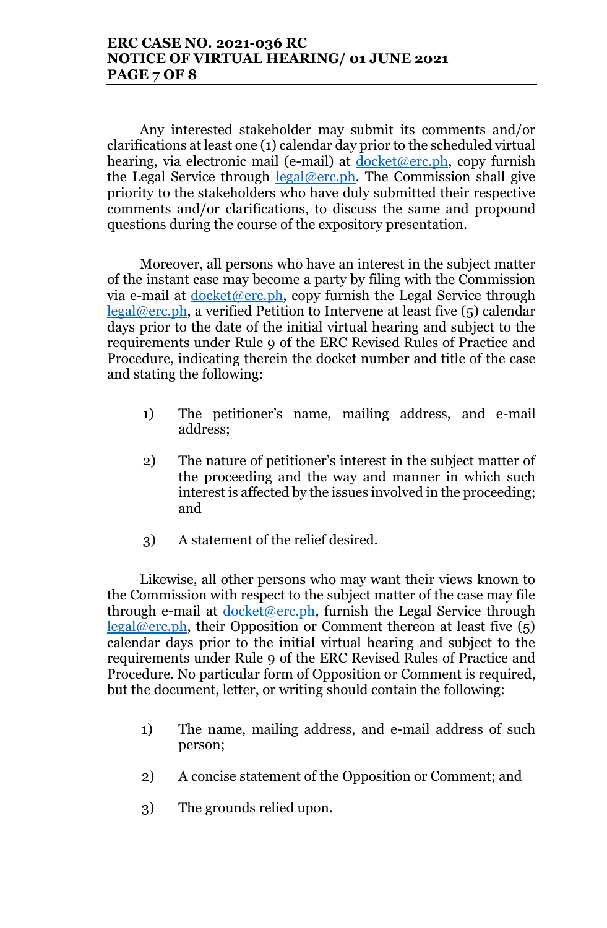Any interested stakeholder may submit its comments and/or clarifications at least one (1) calendar day prior to the scheduled virtual hearing, via electronic mail (e-mail) at docket@erc.ph, copy furnish the Legal Service through  $\text{legal@erc.ph.}$  The Commission shall give priority to the stakeholders who have duly submitted their respective comments and/or clarifications, to discuss the same and propound questions during the course of the expository presentation.

Moreover, all persons who have an interest in the subject matter of the instant case may become a party by filing with the Commission via e-mail at docket@erc.ph, copy furnish the Legal Service through  $\text{legal@erc.ph},$  a verified Petition to Intervene at least five  $(5)$  calendar days prior to the date of the initial virtual hearing and subject to the requirements under Rule 9 of the ERC Revised Rules of Practice and Procedure, indicating therein the docket number and title of the case and stating the following:

- 1) The petitioner's name, mailing address, and e-mail address;
- 2) The nature of petitioner's interest in the subject matter of the proceeding and the way and manner in which such interest is affected by the issues involved in the proceeding; and
- 3) A statement of the relief desired.

Likewise, all other persons who may want their views known to the Commission with respect to the subject matter of the case may file through e-mail at  $d$ <sub>ocket</sub> $@$  erc.ph, furnish the Legal Service through  $\text{legal@erc.ph.}$  their Opposition or Comment thereon at least five (5) calendar days prior to the initial virtual hearing and subject to the requirements under Rule 9 of the ERC Revised Rules of Practice and Procedure. No particular form of Opposition or Comment is required, but the document, letter, or writing should contain the following:

- 1) The name, mailing address, and e-mail address of such person;
- 2) A concise statement of the Opposition or Comment; and
- 3) The grounds relied upon.